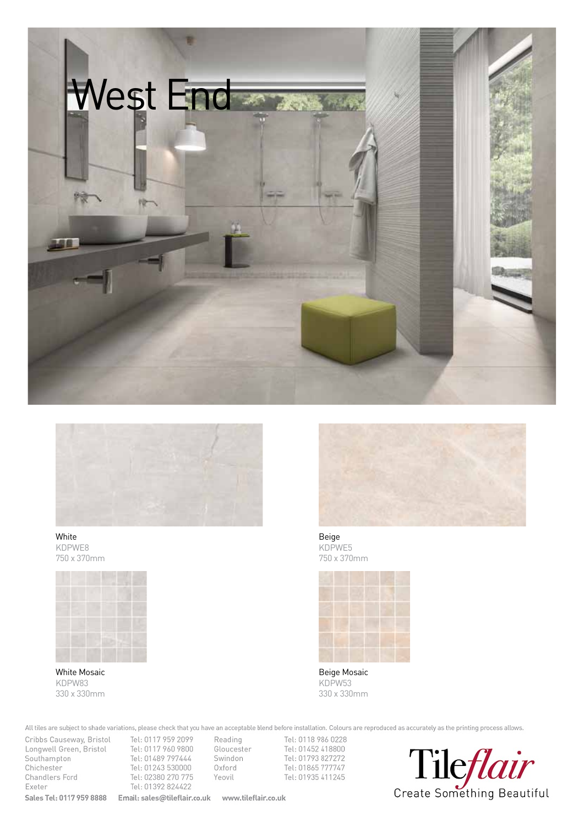



White KDPWE8 750 x 370mm



White Mosaic KDPW83 330 x 330mm



Beige KDPWE5 750 x 370mm



Beige Mosaic KDPW53 330 x 330mm

All tiles are subject to shade variations, please check that you have an acceptable blend before installation. Colours are reproduced as accurately as the printing process allows.

Cribbs Causeway, Bristol Tel: 0117 959 2099 Reading Longwell Green, Bristol Tel: 0117 960 9800 Southampton Tel: 01489 797444 Chichester Tel: 01243 530000 Chandlers Ford Tel: 02380 270 775 Exeter Tel: 01392 824422 **Sales Tel: 0117 959 8888 Email: sales@tileflair.co.uk www.tileflair.co.uk** 

Reading Tel: 0118 986 0228<br>Gloucester Tel: 01452 418800 Swindon Tel: 01793 827272 Oxford Tel: 01865 777747 Yeovil Tel: 01935 411245

Create Something Beautiful